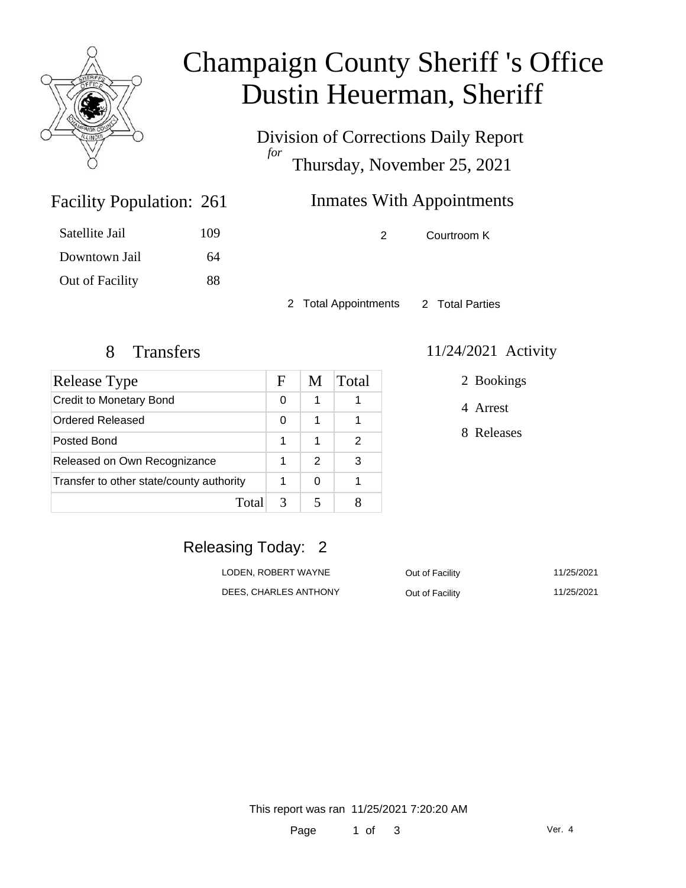

# Champaign County Sheriff 's Office Dustin Heuerman, Sheriff

Division of Corrections Daily Report *for* Thursday, November 25, 2021

## Inmates With Appointments

2 Courtroom K

2 Total Appointments 2 Total Parties

Facility Population: 261

Satellite Jail 109

Downtown Jail 64

Out of Facility 88

| Release Type                             |   | M             | Total |
|------------------------------------------|---|---------------|-------|
| <b>Credit to Monetary Bond</b>           |   |               |       |
| Ordered Released                         |   | 1             |       |
| Posted Bond                              |   | 1             | 2     |
| Released on Own Recognizance             |   | $\mathcal{P}$ | 3     |
| Transfer to other state/county authority |   | ∩             |       |
| Total                                    | 3 |               |       |

#### 8 Transfers 11/24/2021 Activity

2 Bookings

4 Arrest

8 Releases

### Releasing Today: 2

| LODEN. ROBERT WAYNE   | Out of Facility | 11/25/2021 |
|-----------------------|-----------------|------------|
| DEES. CHARLES ANTHONY | Out of Facility | 11/25/2021 |

This report was ran 11/25/2021 7:20:20 AM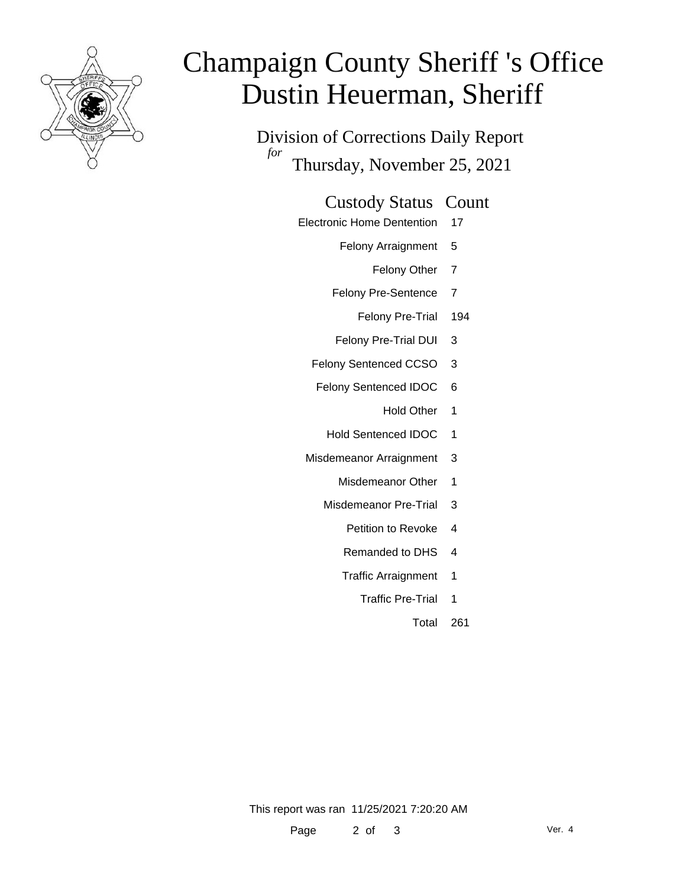

# Champaign County Sheriff 's Office Dustin Heuerman, Sheriff

Division of Corrections Daily Report *for* Thursday, November 25, 2021

#### Custody Status Count

- Electronic Home Dentention 17
	- Felony Arraignment 5
		- Felony Other 7
	- Felony Pre-Sentence 7
		- Felony Pre-Trial 194
	- Felony Pre-Trial DUI 3
	- Felony Sentenced CCSO 3
	- Felony Sentenced IDOC 6
		- Hold Other 1
		- Hold Sentenced IDOC 1
	- Misdemeanor Arraignment 3
		- Misdemeanor Other 1
		- Misdemeanor Pre-Trial 3
			- Petition to Revoke 4
			- Remanded to DHS 4
			- Traffic Arraignment 1
				- Traffic Pre-Trial 1
					- Total 261